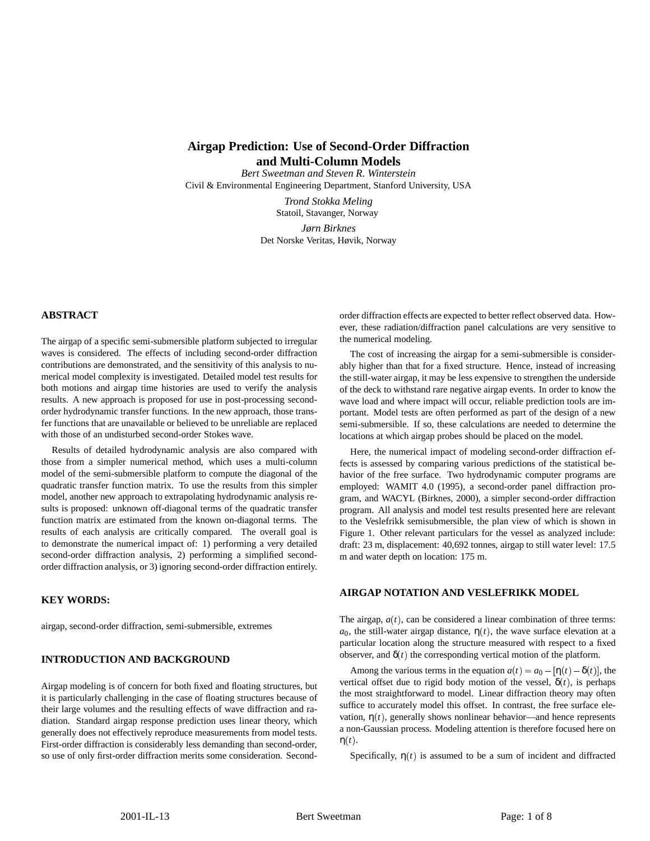# **Airgap Prediction: Use of Second-Order Diffraction and Multi-Column Models**

*Bert Sweetman and Steven R. Winterstein* Civil & Environmental Engineering Department, Stanford University, USA

> *Trond Stokka Meling* Statoil, Stavanger, Norway *Jørn Birknes* Det Norske Veritas, Høvik, Norway

## **ABSTRACT**

The airgap of a specific semi-submersible platform subjected to irregular waves is considered. The effects of including second-order diffraction contributions are demonstrated, and the sensitivity of this analysis to numerical model complexity is investigated. Detailed model test results for both motions and airgap time histories are used to verify the analysis results. A new approach is proposed for use in post-processing secondorder hydrodynamic transfer functions. In the new approach, those transfer functions that are unavailable or believed to be unreliable are replaced with those of an undisturbed second-order Stokes wave.

Results of detailed hydrodynamic analysis are also compared with those from a simpler numerical method, which uses a multi-column model of the semi-submersible platform to compute the diagonal of the quadratic transfer function matrix. To use the results from this simpler model, another new approach to extrapolating hydrodynamic analysis results is proposed: unknown off-diagonal terms of the quadratic transfer function matrix are estimated from the known on-diagonal terms. The results of each analysis are critically compared. The overall goal is to demonstrate the numerical impact of: 1) performing a very detailed second-order diffraction analysis, 2) performing a simplified secondorder diffraction analysis, or 3) ignoring second-order diffraction entirely.

#### **KEY WORDS:**

airgap, second-order diffraction, semi-submersible, extremes

#### **INTRODUCTION AND BACKGROUND**

Airgap modeling is of concern for both fixed and floating structures, but it is particularly challenging in the case of floating structures because of their large volumes and the resulting effects of wave diffraction and radiation. Standard airgap response prediction uses linear theory, which generally does not effectively reproduce measurements from model tests. First-order diffraction is considerably less demanding than second-order, so use of only first-order diffraction merits some consideration. Secondorder diffraction effects are expected to better reflect observed data. However, these radiation/diffraction panel calculations are very sensitive to the numerical modeling.

The cost of increasing the airgap for a semi-submersible is considerably higher than that for a fixed structure. Hence, instead of increasing the still-water airgap, it may be less expensive to strengthen the underside of the deck to withstand rare negative airgap events. In order to know the wave load and where impact will occur, reliable prediction tools are important. Model tests are often performed as part of the design of a new semi-submersible. If so, these calculations are needed to determine the locations at which airgap probes should be placed on the model.

Here, the numerical impact of modeling second-order diffraction effects is assessed by comparing various predictions of the statistical behavior of the free surface. Two hydrodynamic computer programs are employed: WAMIT 4.0 (1995), a second-order panel diffraction program, and WACYL (Birknes, 2000), a simpler second-order diffraction program. All analysis and model test results presented here are relevant to the Veslefrikk semisubmersible, the plan view of which is shown in Figure 1. Other relevant particulars for the vessel as analyzed include: draft: 23 m, displacement: 40,692 tonnes, airgap to still water level: 17.5 m and water depth on location: 175 m.

## **AIRGAP NOTATION AND VESLEFRIKK MODEL**

The airgap,  $a(t)$ , can be considered a linear combination of three terms:  $a_0$ , the still-water airgap distance,  $\eta(t)$ , the wave surface elevation at a particular location along the structure measured with respect to a fixed observer, and  $\delta(t)$  the corresponding vertical motion of the platform.

Among the various terms in the equation  $a(t) = a_0 - [\eta(t) - \delta(t)]$ , the vertical offset due to rigid body motion of the vessel,  $\delta(t)$ , is perhaps the most straightforward to model. Linear diffraction theory may often suffice to accurately model this offset. In contrast, the free surface elevation,  $η(t)$ , generally shows nonlinear behavior—and hence represents a non-Gaussian process. Modeling attention is therefore focused here on  $\eta(t)$ .

Specifically,  $\eta(t)$  is assumed to be a sum of incident and diffracted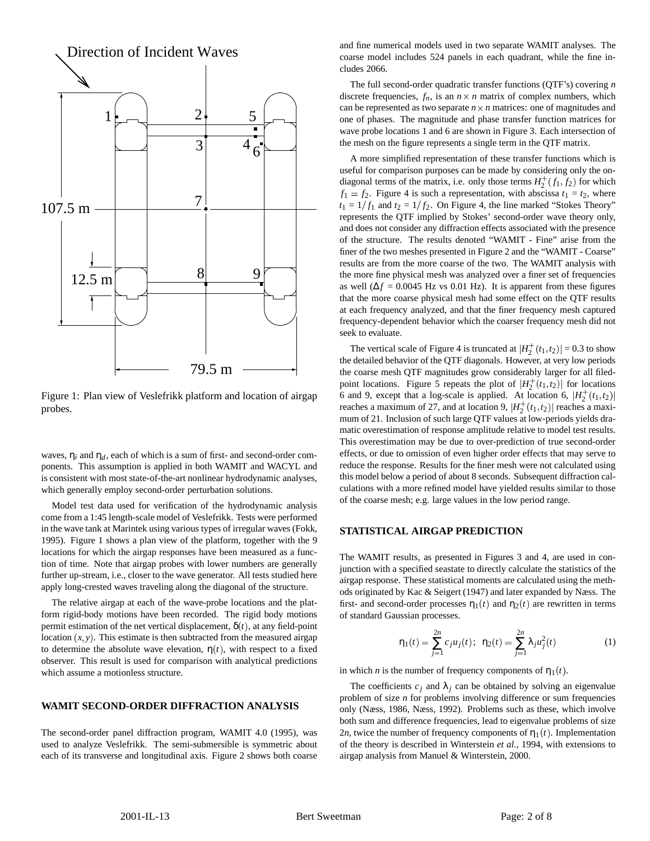

Figure 1: Plan view of Veslefrikk platform and location of airgap probes.

waves,  $\eta_i$  and  $\eta_d$ , each of which is a sum of first- and second-order components. This assumption is applied in both WAMIT and WACYL and is consistent with most state-of-the-art nonlinear hydrodynamic analyses, which generally employ second-order perturbation solutions.

Model test data used for verification of the hydrodynamic analysis come from a 1:45 length-scale model of Veslefrikk. Tests were performed in the wave tank at Marintek using various types of irregular waves (Fokk, 1995). Figure 1 shows a plan view of the platform, together with the 9 locations for which the airgap responses have been measured as a function of time. Note that airgap probes with lower numbers are generally further up-stream, i.e., closer to the wave generator. All tests studied here apply long-crested waves traveling along the diagonal of the structure.

The relative airgap at each of the wave-probe locations and the platform rigid-body motions have been recorded. The rigid body motions permit estimation of the net vertical displacement,  $\delta(t)$ , at any field-point location  $(x, y)$ . This estimate is then subtracted from the measured airgap to determine the absolute wave elevation,  $\eta(t)$ , with respect to a fixed observer. This result is used for comparison with analytical predictions which assume a motionless structure.

#### **WAMIT SECOND-ORDER DIFFRACTION ANALYSIS**

The second-order panel diffraction program, WAMIT 4.0 (1995), was used to analyze Veslefrikk. The semi-submersible is symmetric about each of its transverse and longitudinal axis. Figure 2 shows both coarse and fine numerical models used in two separate WAMIT analyses. The coarse model includes 524 panels in each quadrant, while the fine includes 2066.

The full second-order quadratic transfer functions (QTF's) covering *n* discrete frequencies,  $f_n$ , is an  $n \times n$  matrix of complex numbers, which can be represented as two separate  $n \times n$  matrices: one of magnitudes and one of phases. The magnitude and phase transfer function matrices for wave probe locations 1 and 6 are shown in Figure 3. Each intersection of the mesh on the figure represents a single term in the QTF matrix.

A more simplified representation of these transfer functions which is useful for comparison purposes can be made by considering only the ondiagonal terms of the matrix, i.e. only those terms  $H_2^+(f_1, f_2)$  for which  $f_1 = f_2$ . Figure 4 is such a representation, with abscissa  $t_1 = t_2$ , where  $t_1 = 1/f_1$  and  $t_2 = 1/f_2$ . On Figure 4, the line marked "Stokes Theory" represents the QTF implied by Stokes' second-order wave theory only, and does not consider any diffraction effects associated with the presence of the structure. The results denoted "WAMIT - Fine" arise from the finer of the two meshes presented in Figure 2 and the "WAMIT - Coarse" results are from the more coarse of the two. The WAMIT analysis with the more fine physical mesh was analyzed over a finer set of frequencies as well ( $\Delta f = 0.0045$  Hz vs 0.01 Hz). It is apparent from these figures that the more coarse physical mesh had some effect on the QTF results at each frequency analyzed, and that the finer frequency mesh captured frequency-dependent behavior which the coarser frequency mesh did not seek to evaluate.

The vertical scale of Figure 4 is truncated at  $|H_2^+(t_1, t_2)| = 0.3$  to show the detailed behavior of the QTF diagonals. However, at very low periods the coarse mesh QTF magnitudes grow considerably larger for all filedpoint locations. Figure 5 repeats the plot of  $|H_2^+(t_1, t_2)|$  for locations 6 and 9, except that a log-scale is applied. At location 6,  $|H_2^+(t_1, t_2)|$ reaches a maximum of 27, and at location 9,  $|H_2^+(t_1, t_2)|$  reaches a maximum of 21. Inclusion of such large QTF values at low-periods yields dramatic overestimation of response amplitude relative to model test results. This overestimation may be due to over-prediction of true second-order effects, or due to omission of even higher order effects that may serve to reduce the response. Results for the finer mesh were not calculated using this model below a period of about 8 seconds. Subsequent diffraction calculations with a more refined model have yielded results similar to those of the coarse mesh; e.g. large values in the low period range.

#### **STATISTICAL AIRGAP PREDICTION**

The WAMIT results, as presented in Figures 3 and 4, are used in conjunction with a specified seastate to directly calculate the statistics of the airgap response. These statistical moments are calculated using the methods originated by Kac & Seigert (1947) and later expanded by Næss. The first- and second-order processes  $\eta_1(t)$  and  $\eta_2(t)$  are rewritten in terms of standard Gaussian processes.

$$
\eta_1(t) = \sum_{j=1}^{2n} c_j u_j(t); \ \ \eta_2(t) = \sum_{j=1}^{2n} \lambda_j u_j^2(t) \tag{1}
$$

in which *n* is the number of frequency components of  $\eta_1(t)$ .

The coefficients  $c_i$  and  $\lambda_i$  can be obtained by solving an eigenvalue problem of size *n* for problems involving difference or sum frequencies only (Næss, 1986, Næss, 1992). Problems such as these, which involve both sum and difference frequencies, lead to eigenvalue problems of size 2*n*, twice the number of frequency components of  $\eta_1(t)$ . Implementation of the theory is described in Winterstein *et al.*, 1994, with extensions to airgap analysis from Manuel & Winterstein, 2000.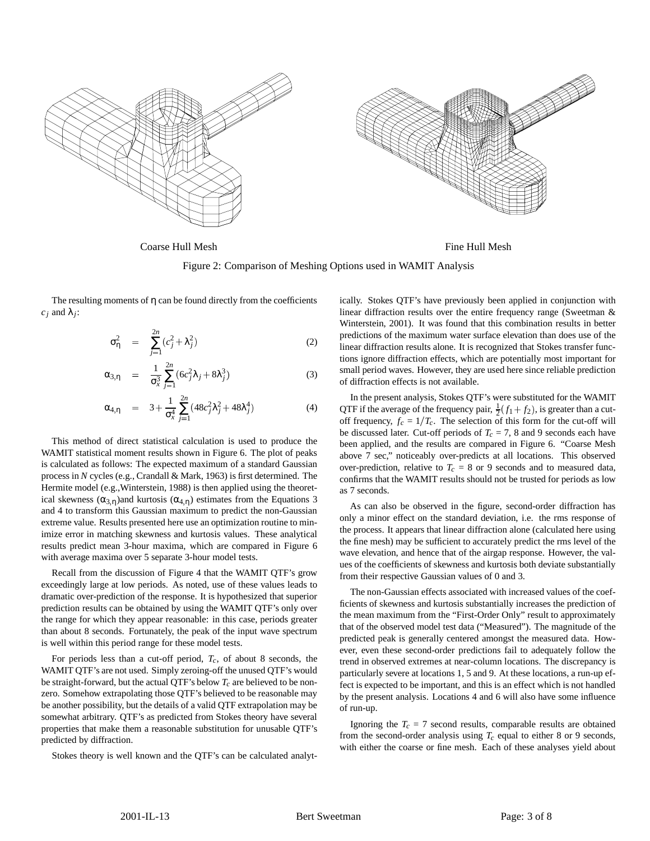

Coarse Hull Mesh **Fine Hull Mesh** Fine Hull Mesh

Figure 2: Comparison of Meshing Options used in WAMIT Analysis

The resulting moments of  $\eta$  can be found directly from the coefficients  $c_j$  and  $\lambda_j$ :

$$
\sigma_{\eta}^2 = \sum_{j=1}^{2n} (c_j^2 + \lambda_j^2) \tag{2}
$$

$$
\alpha_{3,\eta} = \frac{1}{\sigma_x^3} \sum_{j=1}^{2n} (6c_j^2 \lambda_j + 8\lambda_j^3)
$$
 (3)

$$
\alpha_{4,\eta} = 3 + \frac{1}{\sigma_x^4} \sum_{j=1}^{2n} (48c_j^2 \lambda_j^2 + 48\lambda_j^4)
$$
 (4)

This method of direct statistical calculation is used to produce the WAMIT statistical moment results shown in Figure 6. The plot of peaks is calculated as follows: The expected maximum of a standard Gaussian process in *N* cycles (e.g., Crandall & Mark, 1963) is first determined. The Hermite model (e.g.,Winterstein, 1988) is then applied using the theoretical skewness  $(\alpha_{3,\eta})$ and kurtosis  $(\alpha_{4,\eta})$  estimates from the Equations 3 and 4 to transform this Gaussian maximum to predict the non-Gaussian extreme value. Results presented here use an optimization routine to minimize error in matching skewness and kurtosis values. These analytical results predict mean 3-hour maxima, which are compared in Figure 6 with average maxima over 5 separate 3-hour model tests.

Recall from the discussion of Figure 4 that the WAMIT QTF's grow exceedingly large at low periods. As noted, use of these values leads to dramatic over-prediction of the response. It is hypothesized that superior prediction results can be obtained by using the WAMIT QTF's only over the range for which they appear reasonable: in this case, periods greater than about 8 seconds. Fortunately, the peak of the input wave spectrum is well within this period range for these model tests.

For periods less than a cut-off period,  $T_c$ , of about 8 seconds, the WAMIT QTF's are not used. Simply zeroing-off the unused QTF's would be straight-forward, but the actual QTF's below *Tc* are believed to be nonzero. Somehow extrapolating those QTF's believed to be reasonable may be another possibility, but the details of a valid QTF extrapolation may be somewhat arbitrary. QTF's as predicted from Stokes theory have several properties that make them a reasonable substitution for unusable QTF's predicted by diffraction.

Stokes theory is well known and the QTF's can be calculated analyt-

ically. Stokes QTF's have previously been applied in conjunction with linear diffraction results over the entire frequency range (Sweetman & Winterstein, 2001). It was found that this combination results in better predictions of the maximum water surface elevation than does use of the linear diffraction results alone. It is recognized that Stokes transfer functions ignore diffraction effects, which are potentially most important for small period waves. However, they are used here since reliable prediction of diffraction effects is not available.

In the present analysis, Stokes QTF's were substituted for the WAMIT QTF if the average of the frequency pair,  $\frac{1}{2}(f_1 + f_2)$ , is greater than a cutoff frequency,  $f_c = 1/T_c$ . The selection of this form for the cut-off will be discussed later. Cut-off periods of  $T_c = 7$ , 8 and 9 seconds each have been applied, and the results are compared in Figure 6. "Coarse Mesh above 7 sec," noticeably over-predicts at all locations. This observed over-prediction, relative to  $T_c = 8$  or 9 seconds and to measured data, confirms that the WAMIT results should not be trusted for periods as low as 7 seconds.

As can also be observed in the figure, second-order diffraction has only a minor effect on the standard deviation, i.e. the rms response of the process. It appears that linear diffraction alone (calculated here using the fine mesh) may be sufficient to accurately predict the rms level of the wave elevation, and hence that of the airgap response. However, the values of the coefficients of skewness and kurtosis both deviate substantially from their respective Gaussian values of 0 and 3.

The non-Gaussian effects associated with increased values of the coefficients of skewness and kurtosis substantially increases the prediction of the mean maximum from the "First-Order Only" result to approximately that of the observed model test data ("Measured"). The magnitude of the predicted peak is generally centered amongst the measured data. However, even these second-order predictions fail to adequately follow the trend in observed extremes at near-column locations. The discrepancy is particularly severe at locations 1, 5 and 9. At these locations, a run-up effect is expected to be important, and this is an effect which is not handled by the present analysis. Locations 4 and 6 will also have some influence of run-up.

Ignoring the  $T_c = 7$  second results, comparable results are obtained from the second-order analysis using  $T_c$  equal to either 8 or 9 seconds, with either the coarse or fine mesh. Each of these analyses yield about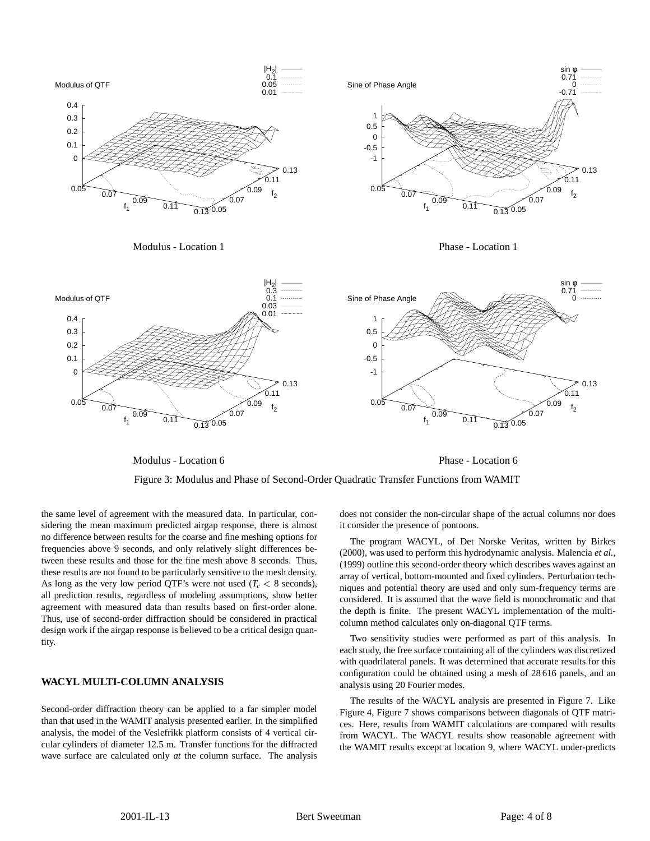

Modulus - Location 6

Phase - Location 6



the same level of agreement with the measured data. In particular, considering the mean maximum predicted airgap response, there is almost no difference between results for the coarse and fine meshing options for frequencies above 9 seconds, and only relatively slight differences between these results and those for the fine mesh above 8 seconds. Thus, these results are not found to be particularly sensitive to the mesh density. As long as the very low period QTF's were not used  $(T_c < 8$  seconds), all prediction results, regardless of modeling assumptions, show better agreement with measured data than results based on first-order alone. Thus, use of second-order diffraction should be considered in practical design work if the airgap response is believed to be a critical design quantity.

## **WACYL MULTI-COLUMN ANALYSIS**

Second-order diffraction theory can be applied to a far simpler model than that used in the WAMIT analysis presented earlier. In the simplified analysis, the model of the Veslefrikk platform consists of 4 vertical circular cylinders of diameter 12.5 m. Transfer functions for the diffracted wave surface are calculated only *at* the column surface. The analysis

does not consider the non-circular shape of the actual columns nor does it consider the presence of pontoons.

The program WACYL, of Det Norske Veritas, written by Birkes (2000), was used to perform this hydrodynamic analysis. Malencia *et al.*, (1999) outline this second-order theory which describes waves against an array of vertical, bottom-mounted and fixed cylinders. Perturbation techniques and potential theory are used and only sum-frequency terms are considered. It is assumed that the wave field is monochromatic and that the depth is finite. The present WACYL implementation of the multicolumn method calculates only on-diagonal QTF terms.

Two sensitivity studies were performed as part of this analysis. In each study, the free surface containing all of the cylinders was discretized with quadrilateral panels. It was determined that accurate results for this configuration could be obtained using a mesh of 28 616 panels, and an analysis using 20 Fourier modes.

The results of the WACYL analysis are presented in Figure 7. Like Figure 4, Figure 7 shows comparisons between diagonals of QTF matrices. Here, results from WAMIT calculations are compared with results from WACYL. The WACYL results show reasonable agreement with the WAMIT results except at location 9, where WACYL under-predicts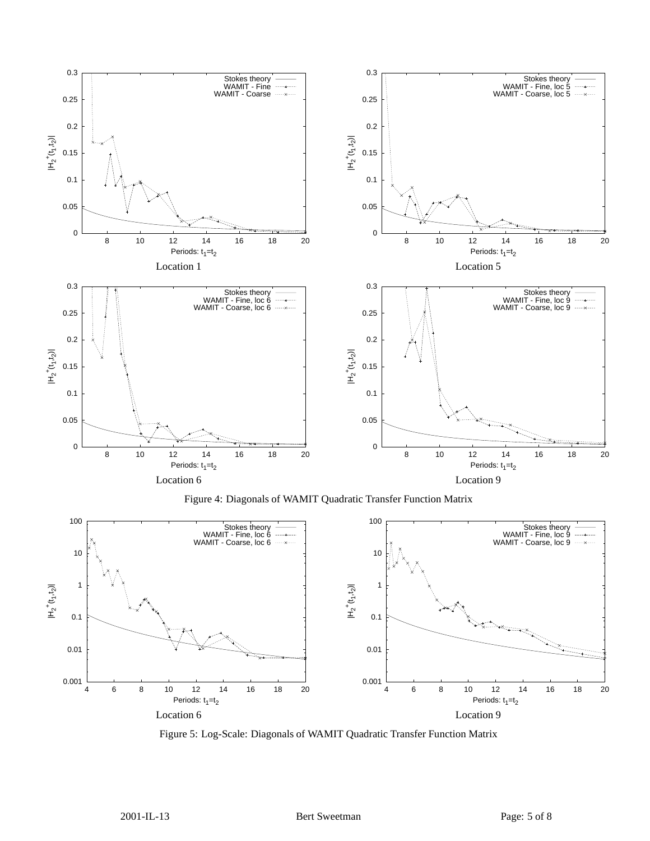

Figure 4: Diagonals of WAMIT Quadratic Transfer Function Matrix



Figure 5: Log-Scale: Diagonals of WAMIT Quadratic Transfer Function Matrix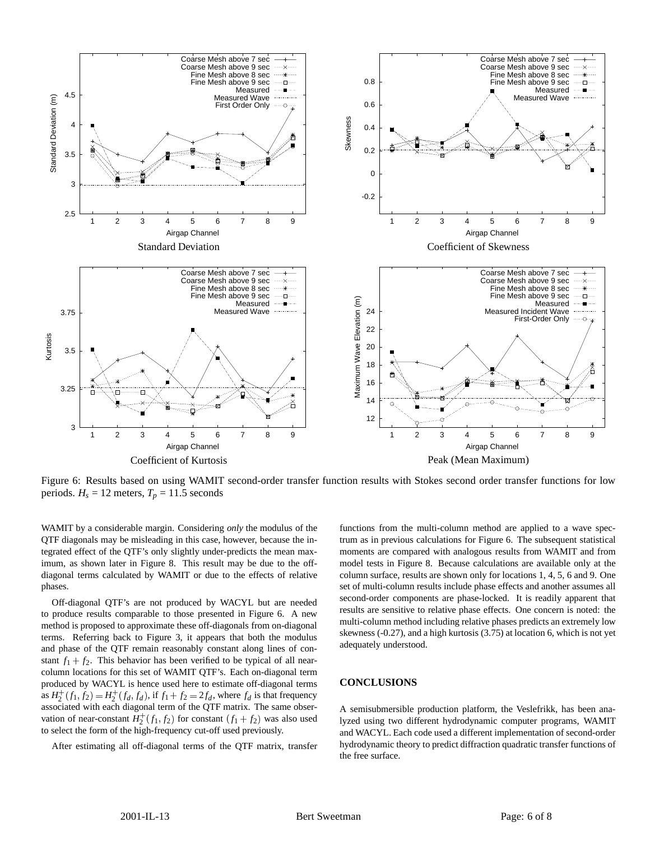

Figure 6: Results based on using WAMIT second-order transfer function results with Stokes second order transfer functions for low periods.  $H_s = 12$  meters,  $T_p = 11.5$  seconds

WAMIT by a considerable margin. Considering *only* the modulus of the QTF diagonals may be misleading in this case, however, because the integrated effect of the QTF's only slightly under-predicts the mean maximum, as shown later in Figure 8. This result may be due to the offdiagonal terms calculated by WAMIT or due to the effects of relative phases.

Off-diagonal QTF's are not produced by WACYL but are needed to produce results comparable to those presented in Figure 6. A new method is proposed to approximate these off-diagonals from on-diagonal terms. Referring back to Figure 3, it appears that both the modulus and phase of the QTF remain reasonably constant along lines of constant  $f_1 + f_2$ . This behavior has been verified to be typical of all nearcolumn locations for this set of WAMIT QTF's. Each on-diagonal term produced by WACYL is hence used here to estimate off-diagonal terms as  $H_2^+(f_1, f_2) = H_2^+(f_d, f_d)$ , if  $f_1 + f_2 = 2f_d$ , where  $f_d$  is that frequency associated with each diagonal term of the QTF matrix. The same observation of near-constant  $H_2^+(f_1, f_2)$  for constant  $(f_1 + f_2)$  was also used to select the form of the high-frequency cut-off used previously.

After estimating all off-diagonal terms of the QTF matrix, transfer

functions from the multi-column method are applied to a wave spectrum as in previous calculations for Figure 6. The subsequent statistical moments are compared with analogous results from WAMIT and from model tests in Figure 8. Because calculations are available only at the column surface, results are shown only for locations 1, 4, 5, 6 and 9. One set of multi-column results include phase effects and another assumes all second-order components are phase-locked. It is readily apparent that results are sensitive to relative phase effects. One concern is noted: the multi-column method including relative phases predicts an extremely low skewness (-0.27), and a high kurtosis (3.75) at location 6, which is not yet adequately understood.

## **CONCLUSIONS**

A semisubmersible production platform, the Veslefrikk, has been analyzed using two different hydrodynamic computer programs, WAMIT and WACYL. Each code used a different implementation of second-order hydrodynamic theory to predict diffraction quadratic transfer functions of the free surface.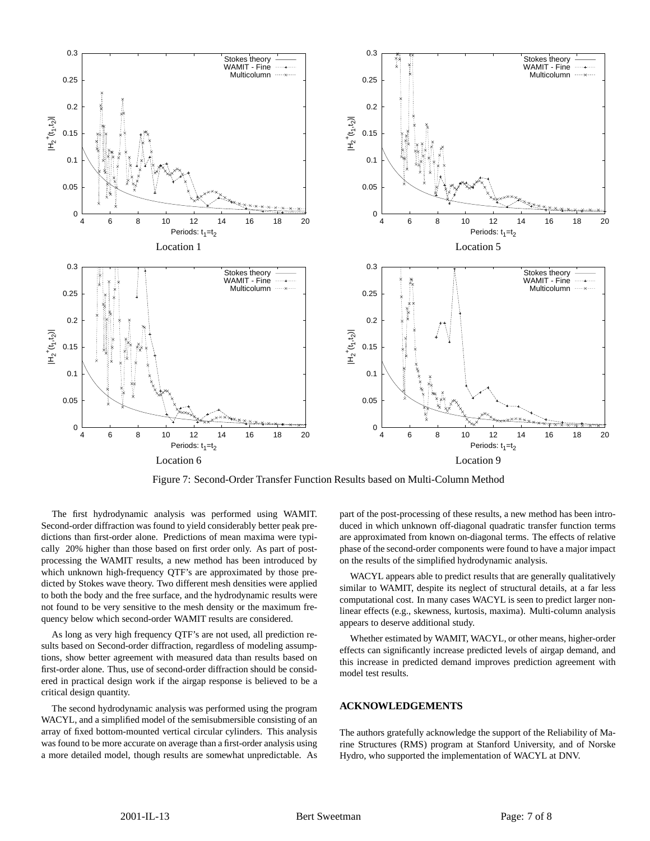

Figure 7: Second-Order Transfer Function Results based on Multi-Column Method

The first hydrodynamic analysis was performed using WAMIT. Second-order diffraction was found to yield considerably better peak predictions than first-order alone. Predictions of mean maxima were typically 20% higher than those based on first order only. As part of postprocessing the WAMIT results, a new method has been introduced by which unknown high-frequency QTF's are approximated by those predicted by Stokes wave theory. Two different mesh densities were applied to both the body and the free surface, and the hydrodynamic results were not found to be very sensitive to the mesh density or the maximum frequency below which second-order WAMIT results are considered.

As long as very high frequency QTF's are not used, all prediction results based on Second-order diffraction, regardless of modeling assumptions, show better agreement with measured data than results based on first-order alone. Thus, use of second-order diffraction should be considered in practical design work if the airgap response is believed to be a critical design quantity.

The second hydrodynamic analysis was performed using the program WACYL, and a simplified model of the semisubmersible consisting of an array of fixed bottom-mounted vertical circular cylinders. This analysis was found to be more accurate on average than a first-order analysis using a more detailed model, though results are somewhat unpredictable. As part of the post-processing of these results, a new method has been introduced in which unknown off-diagonal quadratic transfer function terms are approximated from known on-diagonal terms. The effects of relative phase of the second-order components were found to have a major impact on the results of the simplified hydrodynamic analysis.

WACYL appears able to predict results that are generally qualitatively similar to WAMIT, despite its neglect of structural details, at a far less computational cost. In many cases WACYL is seen to predict larger nonlinear effects (e.g., skewness, kurtosis, maxima). Multi-column analysis appears to deserve additional study.

Whether estimated by WAMIT, WACYL, or other means, higher-order effects can significantly increase predicted levels of airgap demand, and this increase in predicted demand improves prediction agreement with model test results.

#### **ACKNOWLEDGEMENTS**

The authors gratefully acknowledge the support of the Reliability of Marine Structures (RMS) program at Stanford University, and of Norske Hydro, who supported the implementation of WACYL at DNV.